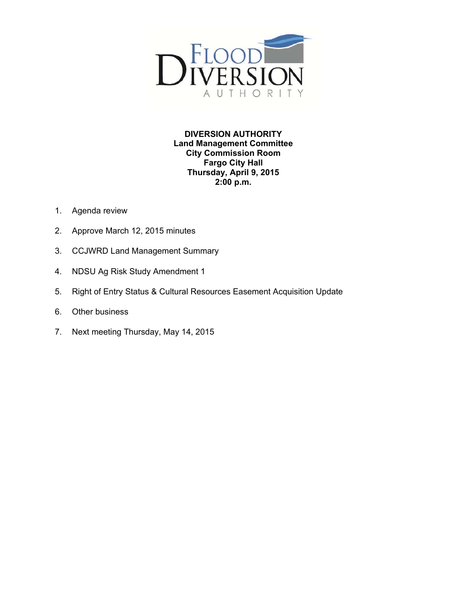

**DIVERSION AUTHORITY Land Management Committee City Commission Room Fargo City Hall Thursday, April 9, 2015 2:00 p.m.** 

- 1. Agenda review
- 2. Approve March 12, 2015 minutes
- 3. CCJWRD Land Management Summary
- 4. NDSU Ag Risk Study Amendment 1
- 5. Right of Entry Status & Cultural Resources Easement Acquisition Update
- 6. Other business
- 7. Next meeting Thursday, May 14, 2015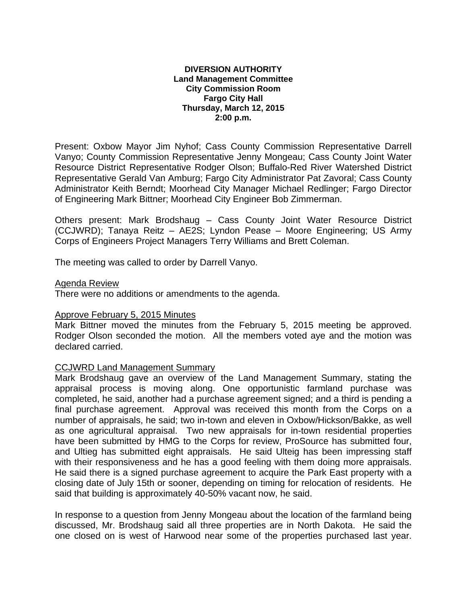#### **DIVERSION AUTHORITY Land Management Committee City Commission Room Fargo City Hall Thursday, March 12, 2015 2:00 p.m.**

Present: Oxbow Mayor Jim Nyhof; Cass County Commission Representative Darrell Vanyo; County Commission Representative Jenny Mongeau; Cass County Joint Water Resource District Representative Rodger Olson; Buffalo-Red River Watershed District Representative Gerald Van Amburg; Fargo City Administrator Pat Zavoral; Cass County Administrator Keith Berndt; Moorhead City Manager Michael Redlinger; Fargo Director of Engineering Mark Bittner; Moorhead City Engineer Bob Zimmerman.

Others present: Mark Brodshaug – Cass County Joint Water Resource District (CCJWRD); Tanaya Reitz – AE2S; Lyndon Pease – Moore Engineering; US Army Corps of Engineers Project Managers Terry Williams and Brett Coleman.

The meeting was called to order by Darrell Vanyo.

#### Agenda Review

There were no additions or amendments to the agenda.

## Approve February 5, 2015 Minutes

Mark Bittner moved the minutes from the February 5, 2015 meeting be approved. Rodger Olson seconded the motion. All the members voted aye and the motion was declared carried.

## CCJWRD Land Management Summary

Mark Brodshaug gave an overview of the Land Management Summary, stating the appraisal process is moving along. One opportunistic farmland purchase was completed, he said, another had a purchase agreement signed; and a third is pending a final purchase agreement. Approval was received this month from the Corps on a number of appraisals, he said; two in-town and eleven in Oxbow/Hickson/Bakke, as well as one agricultural appraisal. Two new appraisals for in-town residential properties have been submitted by HMG to the Corps for review, ProSource has submitted four, and Ultieg has submitted eight appraisals. He said Ulteig has been impressing staff with their responsiveness and he has a good feeling with them doing more appraisals. He said there is a signed purchase agreement to acquire the Park East property with a closing date of July 15th or sooner, depending on timing for relocation of residents. He said that building is approximately 40-50% vacant now, he said.

In response to a question from Jenny Mongeau about the location of the farmland being discussed, Mr. Brodshaug said all three properties are in North Dakota. He said the one closed on is west of Harwood near some of the properties purchased last year.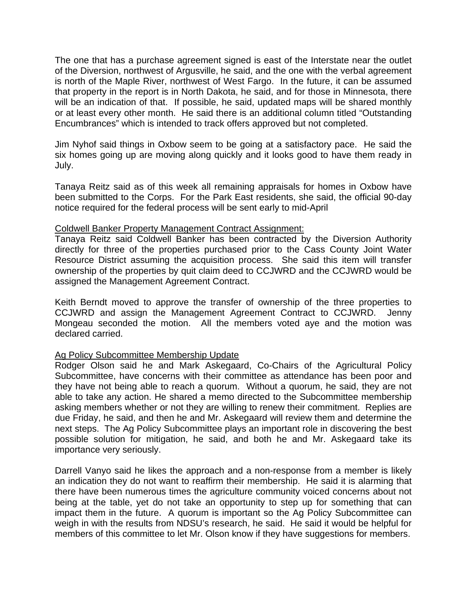The one that has a purchase agreement signed is east of the Interstate near the outlet of the Diversion, northwest of Argusville, he said, and the one with the verbal agreement is north of the Maple River, northwest of West Fargo. In the future, it can be assumed that property in the report is in North Dakota, he said, and for those in Minnesota, there will be an indication of that. If possible, he said, updated maps will be shared monthly or at least every other month. He said there is an additional column titled "Outstanding Encumbrances" which is intended to track offers approved but not completed.

Jim Nyhof said things in Oxbow seem to be going at a satisfactory pace. He said the six homes going up are moving along quickly and it looks good to have them ready in July.

Tanaya Reitz said as of this week all remaining appraisals for homes in Oxbow have been submitted to the Corps. For the Park East residents, she said, the official 90-day notice required for the federal process will be sent early to mid-April

## Coldwell Banker Property Management Contract Assignment:

Tanaya Reitz said Coldwell Banker has been contracted by the Diversion Authority directly for three of the properties purchased prior to the Cass County Joint Water Resource District assuming the acquisition process. She said this item will transfer ownership of the properties by quit claim deed to CCJWRD and the CCJWRD would be assigned the Management Agreement Contract.

Keith Berndt moved to approve the transfer of ownership of the three properties to CCJWRD and assign the Management Agreement Contract to CCJWRD. Jenny Mongeau seconded the motion. All the members voted aye and the motion was declared carried.

## Ag Policy Subcommittee Membership Update

Rodger Olson said he and Mark Askegaard, Co-Chairs of the Agricultural Policy Subcommittee, have concerns with their committee as attendance has been poor and they have not being able to reach a quorum. Without a quorum, he said, they are not able to take any action. He shared a memo directed to the Subcommittee membership asking members whether or not they are willing to renew their commitment. Replies are due Friday, he said, and then he and Mr. Askegaard will review them and determine the next steps. The Ag Policy Subcommittee plays an important role in discovering the best possible solution for mitigation, he said, and both he and Mr. Askegaard take its importance very seriously.

Darrell Vanyo said he likes the approach and a non-response from a member is likely an indication they do not want to reaffirm their membership. He said it is alarming that there have been numerous times the agriculture community voiced concerns about not being at the table, yet do not take an opportunity to step up for something that can impact them in the future. A quorum is important so the Ag Policy Subcommittee can weigh in with the results from NDSU's research, he said. He said it would be helpful for members of this committee to let Mr. Olson know if they have suggestions for members.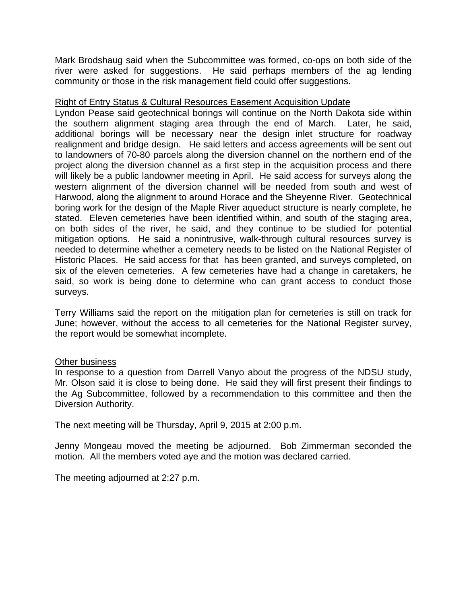Mark Brodshaug said when the Subcommittee was formed, co-ops on both side of the river were asked for suggestions. He said perhaps members of the ag lending community or those in the risk management field could offer suggestions.

## Right of Entry Status & Cultural Resources Easement Acquisition Update

Lyndon Pease said geotechnical borings will continue on the North Dakota side within the southern alignment staging area through the end of March. Later, he said, additional borings will be necessary near the design inlet structure for roadway realignment and bridge design. He said letters and access agreements will be sent out to landowners of 70-80 parcels along the diversion channel on the northern end of the project along the diversion channel as a first step in the acquisition process and there will likely be a public landowner meeting in April. He said access for surveys along the western alignment of the diversion channel will be needed from south and west of Harwood, along the alignment to around Horace and the Sheyenne River. Geotechnical boring work for the design of the Maple River aqueduct structure is nearly complete, he stated. Eleven cemeteries have been identified within, and south of the staging area, on both sides of the river, he said, and they continue to be studied for potential mitigation options. He said a nonintrusive, walk-through cultural resources survey is needed to determine whether a cemetery needs to be listed on the National Register of Historic Places. He said access for that has been granted, and surveys completed, on six of the eleven cemeteries. A few cemeteries have had a change in caretakers, he said, so work is being done to determine who can grant access to conduct those surveys.

Terry Williams said the report on the mitigation plan for cemeteries is still on track for June; however, without the access to all cemeteries for the National Register survey, the report would be somewhat incomplete.

## Other business

In response to a question from Darrell Vanyo about the progress of the NDSU study, Mr. Olson said it is close to being done. He said they will first present their findings to the Ag Subcommittee, followed by a recommendation to this committee and then the Diversion Authority.

The next meeting will be Thursday, April 9, 2015 at 2:00 p.m.

Jenny Mongeau moved the meeting be adjourned. Bob Zimmerman seconded the motion. All the members voted aye and the motion was declared carried.

The meeting adjourned at 2:27 p.m.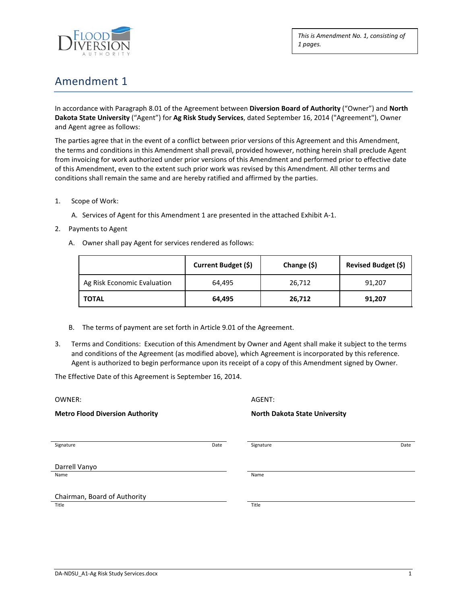

*This is Amendment No. 1, consisting of 1 pages.*

# Amendment 1

In accordance with Paragraph 8.01 of the Agreement between **Diversion Board of Authority** ("Owner") and **North Dakota State University** ("Agent") for **Ag Risk Study Services**, dated September 16, 2014 ("Agreement"), Owner and Agent agree as follows:

The parties agree that in the event of a conflict between prior versions of this Agreement and this Amendment, the terms and conditions in this Amendment shall prevail, provided however, nothing herein shall preclude Agent from invoicing for work authorized under prior versions of this Amendment and performed prior to effective date of this Amendment, even to the extent such prior work was revised by this Amendment. All other terms and conditions shall remain the same and are hereby ratified and affirmed by the parties.

- 1. Scope of Work:
	- A. Services of Agent for this Amendment 1 are presented in the attached Exhibit A-1.
- 2. Payments to Agent
	- A. Owner shall pay Agent for services rendered as follows:

|                             | Current Budget (\$) | Change (\$) | <b>Revised Budget (\$)</b> |
|-----------------------------|---------------------|-------------|----------------------------|
| Ag Risk Economic Evaluation | 64.495              | 26,712      | 91,207                     |
| <b>TOTAL</b>                | 64.495              | 26,712      | 91,207                     |

- B. The terms of payment are set forth in Article 9.01 of the Agreement.
- 3. Terms and Conditions: Execution of this Amendment by Owner and Agent shall make it subject to the terms and conditions of the Agreement (as modified above), which Agreement is incorporated by this reference. Agent is authorized to begin performance upon its receipt of a copy of this Amendment signed by Owner.

The Effective Date of this Agreement is September 16, 2014.

| OWNER:<br><b>Metro Flood Diversion Authority</b> |  | AGENT:<br><b>North Dakota State University</b> |  |
|--------------------------------------------------|--|------------------------------------------------|--|
|                                                  |  |                                                |  |
| Darrell Vanyo                                    |  |                                                |  |
| Name                                             |  | Name                                           |  |
| Chairman, Board of Authority                     |  |                                                |  |
| Title                                            |  | Title                                          |  |
|                                                  |  |                                                |  |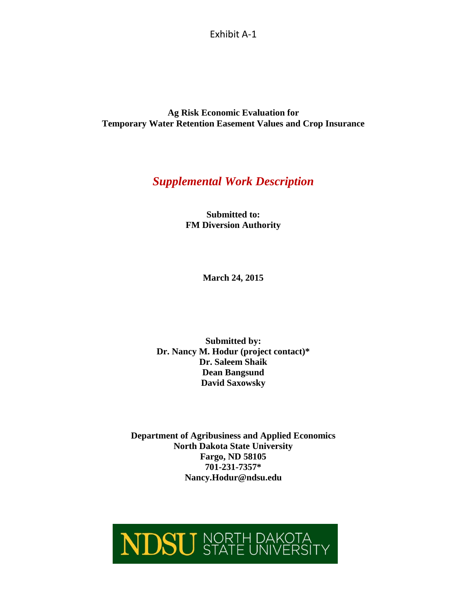Exhibit A-1

**Ag Risk Economic Evaluation for Temporary Water Retention Easement Values and Crop Insurance**

# *Supplemental Work Description*

**Submitted to: FM Diversion Authority**

**March 24, 2015**

**Submitted by: Dr. Nancy M. Hodur (project contact)\* Dr. Saleem Shaik Dean Bangsund David Saxowsky**

**Department of Agribusiness and Applied Economics North Dakota State University Fargo, ND 58105 701-231-7357\* Nancy.Hodur@ndsu.edu**

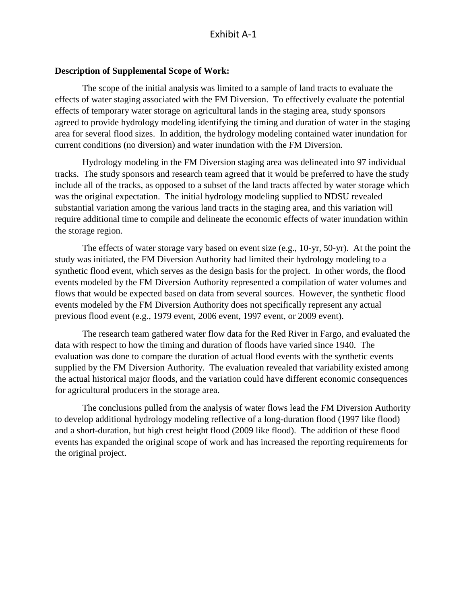## **Description of Supplemental Scope of Work:**

The scope of the initial analysis was limited to a sample of land tracts to evaluate the effects of water staging associated with the FM Diversion. To effectively evaluate the potential effects of temporary water storage on agricultural lands in the staging area, study sponsors agreed to provide hydrology modeling identifying the timing and duration of water in the staging area for several flood sizes. In addition, the hydrology modeling contained water inundation for current conditions (no diversion) and water inundation with the FM Diversion.

Hydrology modeling in the FM Diversion staging area was delineated into 97 individual tracks. The study sponsors and research team agreed that it would be preferred to have the study include all of the tracks, as opposed to a subset of the land tracts affected by water storage which was the original expectation. The initial hydrology modeling supplied to NDSU revealed substantial variation among the various land tracts in the staging area, and this variation will require additional time to compile and delineate the economic effects of water inundation within the storage region.

The effects of water storage vary based on event size (e.g., 10-yr, 50-yr). At the point the study was initiated, the FM Diversion Authority had limited their hydrology modeling to a synthetic flood event, which serves as the design basis for the project. In other words, the flood events modeled by the FM Diversion Authority represented a compilation of water volumes and flows that would be expected based on data from several sources. However, the synthetic flood events modeled by the FM Diversion Authority does not specifically represent any actual previous flood event (e.g., 1979 event, 2006 event, 1997 event, or 2009 event).

The research team gathered water flow data for the Red River in Fargo, and evaluated the data with respect to how the timing and duration of floods have varied since 1940. The evaluation was done to compare the duration of actual flood events with the synthetic events supplied by the FM Diversion Authority. The evaluation revealed that variability existed among the actual historical major floods, and the variation could have different economic consequences for agricultural producers in the storage area.

The conclusions pulled from the analysis of water flows lead the FM Diversion Authority to develop additional hydrology modeling reflective of a long-duration flood (1997 like flood) and a short-duration, but high crest height flood (2009 like flood). The addition of these flood events has expanded the original scope of work and has increased the reporting requirements for the original project.